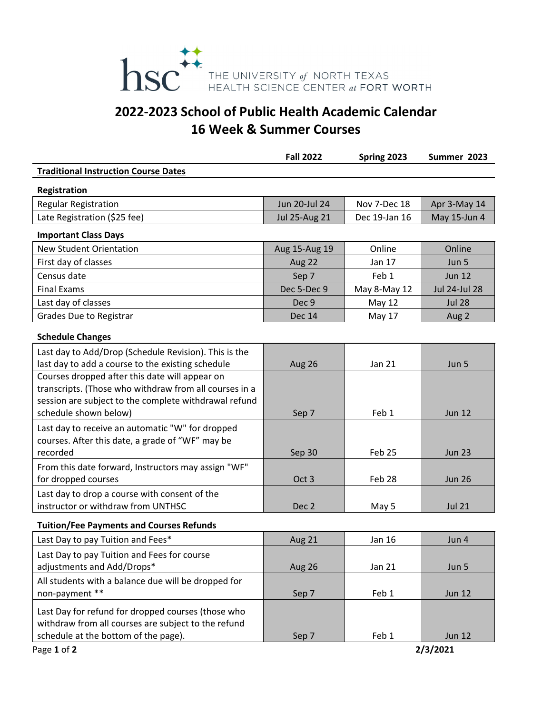

# **2022‐2023 School of Public Health Academic Calendar 16 Week & Summer Courses**

|                                                                                                                                                                                            | <b>Fall 2022</b>     | Spring 2023   | Summer 2023          |
|--------------------------------------------------------------------------------------------------------------------------------------------------------------------------------------------|----------------------|---------------|----------------------|
| <b>Traditional Instruction Course Dates</b>                                                                                                                                                |                      |               |                      |
| Registration                                                                                                                                                                               |                      |               |                      |
| <b>Regular Registration</b>                                                                                                                                                                | Jun 20-Jul 24        | Nov 7-Dec 18  | Apr 3-May 14         |
| Late Registration (\$25 fee)                                                                                                                                                               | <b>Jul 25-Aug 21</b> | Dec 19-Jan 16 | May 15-Jun 4         |
| <b>Important Class Days</b>                                                                                                                                                                |                      |               |                      |
| <b>New Student Orientation</b>                                                                                                                                                             | Aug 15-Aug 19        | Online        | Online               |
| First day of classes                                                                                                                                                                       | Aug 22               | Jan 17        | Jun 5                |
| Census date                                                                                                                                                                                | Sep 7                | Feb 1         | <b>Jun 12</b>        |
| <b>Final Exams</b>                                                                                                                                                                         | Dec 5-Dec 9          | May 8-May 12  | <b>Jul 24-Jul 28</b> |
| Last day of classes                                                                                                                                                                        | Dec 9                | <b>May 12</b> | <b>Jul 28</b>        |
| Grades Due to Registrar                                                                                                                                                                    | <b>Dec 14</b>        | May 17        | Aug 2                |
| <b>Schedule Changes</b>                                                                                                                                                                    |                      |               |                      |
| Last day to Add/Drop (Schedule Revision). This is the<br>last day to add a course to the existing schedule                                                                                 | Aug 26               | Jan 21        | Jun 5                |
| Courses dropped after this date will appear on<br>transcripts. (Those who withdraw from all courses in a<br>session are subject to the complete withdrawal refund<br>schedule shown below) | Sep 7                | Feb 1         | <b>Jun 12</b>        |
| Last day to receive an automatic "W" for dropped<br>courses. After this date, a grade of "WF" may be<br>recorded                                                                           | Sep 30               | Feb 25        | <b>Jun 23</b>        |
| From this date forward, Instructors may assign "WF"<br>for dropped courses                                                                                                                 | Oct <sub>3</sub>     | Feb 28        | <b>Jun 26</b>        |
| Last day to drop a course with consent of the<br>instructor or withdraw from UNTHSC                                                                                                        | Dec <sub>2</sub>     | May 5         | <b>Jul 21</b>        |
| <b>Tuition/Fee Payments and Courses Refunds</b>                                                                                                                                            |                      |               |                      |
| Last Day to pay Tuition and Fees*                                                                                                                                                          | Aug 21               | <b>Jan 16</b> | Jun 4                |
| Last Day to pay Tuition and Fees for course<br>adjustments and Add/Drops*                                                                                                                  | Aug 26               | <b>Jan 21</b> | Jun 5                |
| All students with a balance due will be dropped for<br>non-payment **                                                                                                                      | Sep 7                | Feb 1         | <b>Jun 12</b>        |
| Last Day for refund for dropped courses (those who<br>withdraw from all courses are subject to the refund<br>schedule at the bottom of the page).                                          | Sep 7                | Feb 1         | <b>Jun 12</b>        |
| Page 1 of 2                                                                                                                                                                                |                      |               | 2/3/2021             |